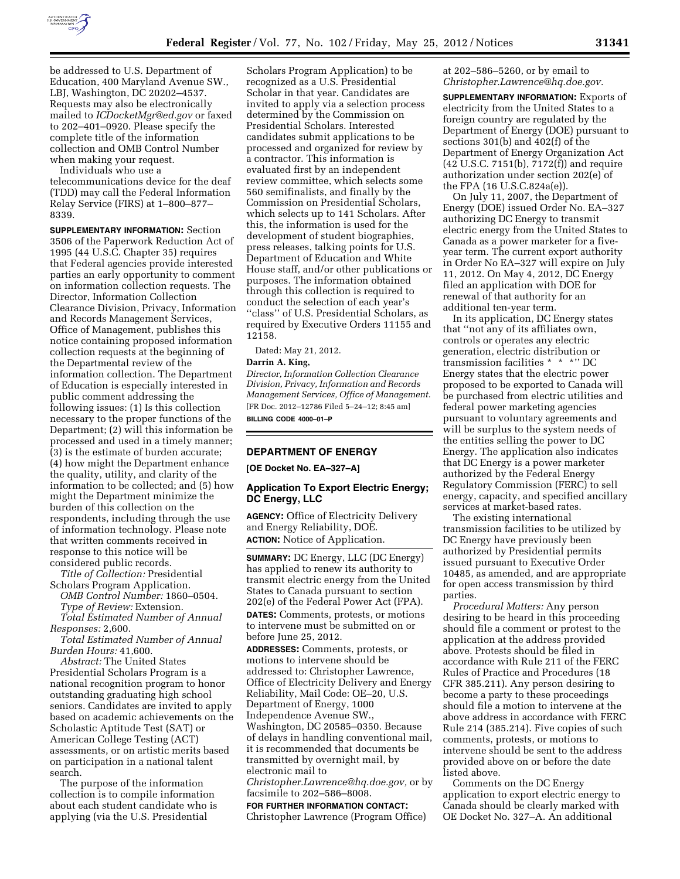

be addressed to U.S. Department of Education, 400 Maryland Avenue SW., LBJ, Washington, DC 20202–4537. Requests may also be electronically mailed to *[ICDocketMgr@ed.gov](mailto:ICDocketMgr@ed.gov)* or faxed to 202–401–0920. Please specify the complete title of the information collection and OMB Control Number when making your request.

Individuals who use a telecommunications device for the deaf (TDD) may call the Federal Information Relay Service (FIRS) at 1–800–877– 8339.

**SUPPLEMENTARY INFORMATION:** Section 3506 of the Paperwork Reduction Act of 1995 (44 U.S.C. Chapter 35) requires that Federal agencies provide interested parties an early opportunity to comment on information collection requests. The Director, Information Collection Clearance Division, Privacy, Information and Records Management Services, Office of Management, publishes this notice containing proposed information collection requests at the beginning of the Departmental review of the information collection. The Department of Education is especially interested in public comment addressing the following issues: (1) Is this collection necessary to the proper functions of the Department; (2) will this information be processed and used in a timely manner; (3) is the estimate of burden accurate; (4) how might the Department enhance the quality, utility, and clarity of the information to be collected; and (5) how might the Department minimize the burden of this collection on the respondents, including through the use of information technology. Please note that written comments received in response to this notice will be considered public records.

*Title of Collection:* Presidential Scholars Program Application.

*OMB Control Number:* 1860–0504. *Type of Review:* Extension.

*Total Estimated Number of Annual* 

*Responses:* 2,600.

*Total Estimated Number of Annual Burden Hours:* 41,600.

*Abstract:* The United States Presidential Scholars Program is a national recognition program to honor outstanding graduating high school seniors. Candidates are invited to apply based on academic achievements on the Scholastic Aptitude Test (SAT) or American College Testing (ACT) assessments, or on artistic merits based on participation in a national talent search.

The purpose of the information collection is to compile information about each student candidate who is applying (via the U.S. Presidential

Scholars Program Application) to be recognized as a U.S. Presidential Scholar in that year. Candidates are invited to apply via a selection process determined by the Commission on Presidential Scholars. Interested candidates submit applications to be processed and organized for review by a contractor. This information is evaluated first by an independent review committee, which selects some 560 semifinalists, and finally by the Commission on Presidential Scholars, which selects up to 141 Scholars. After this, the information is used for the development of student biographies, press releases, talking points for U.S. Department of Education and White House staff, and/or other publications or purposes. The information obtained through this collection is required to conduct the selection of each year's ''class'' of U.S. Presidential Scholars, as required by Executive Orders 11155 and 12158.

Dated: May 21, 2012.

#### **Darrin A. King,**

*Director, Information Collection Clearance Division, Privacy, Information and Records Management Services, Office of Management.*  [FR Doc. 2012–12786 Filed 5–24–12; 8:45 am] **BILLING CODE 4000–01–P** 

## **DEPARTMENT OF ENERGY**

**[OE Docket No. EA–327–A]** 

## **Application To Export Electric Energy; DC Energy, LLC**

**AGENCY:** Office of Electricity Delivery and Energy Reliability, DOE. **ACTION:** Notice of Application.

**SUMMARY:** DC Energy, LLC (DC Energy) has applied to renew its authority to transmit electric energy from the United States to Canada pursuant to section 202(e) of the Federal Power Act (FPA). **DATES:** Comments, protests, or motions to intervene must be submitted on or before June 25, 2012.

**ADDRESSES:** Comments, protests, or motions to intervene should be addressed to: Christopher Lawrence, Office of Electricity Delivery and Energy Reliability, Mail Code: OE–20, U.S. Department of Energy, 1000 Independence Avenue SW., Washington, DC 20585–0350. Because of delays in handling conventional mail, it is recommended that documents be transmitted by overnight mail, by electronic mail to *[Christopher.Lawrence@hq.doe.gov,](mailto:Christopher.Lawrence@hq.doe.gov)* or by

facsimile to 202–586–8008.

**FOR FURTHER INFORMATION CONTACT:**  Christopher Lawrence (Program Office) at 202–586–5260, or by email to *[Christopher.Lawrence@hq.doe.gov.](mailto:Christopher.Lawrence@hq.doe.gov)* 

**SUPPLEMENTARY INFORMATION:** Exports of electricity from the United States to a foreign country are regulated by the Department of Energy (DOE) pursuant to sections 301(b) and 402(f) of the Department of Energy Organization Act (42 U.S.C. 7151(b), 7172(f)) and require authorization under section 202(e) of the FPA (16 U.S.C.824a(e)).

On July 11, 2007, the Department of Energy (DOE) issued Order No. EA–327 authorizing DC Energy to transmit electric energy from the United States to Canada as a power marketer for a fiveyear term. The current export authority in Order No EA–327 will expire on July 11, 2012. On May 4, 2012, DC Energy filed an application with DOE for renewal of that authority for an additional ten-year term.

In its application, DC Energy states that ''not any of its affiliates own, controls or operates any electric generation, electric distribution or transmission facilities \* \* \*'' DC Energy states that the electric power proposed to be exported to Canada will be purchased from electric utilities and federal power marketing agencies pursuant to voluntary agreements and will be surplus to the system needs of the entities selling the power to DC Energy. The application also indicates that DC Energy is a power marketer authorized by the Federal Energy Regulatory Commission (FERC) to sell energy, capacity, and specified ancillary services at market-based rates.

The existing international transmission facilities to be utilized by DC Energy have previously been authorized by Presidential permits issued pursuant to Executive Order 10485, as amended, and are appropriate for open access transmission by third parties.

*Procedural Matters:* Any person desiring to be heard in this proceeding should file a comment or protest to the application at the address provided above. Protests should be filed in accordance with Rule 211 of the FERC Rules of Practice and Procedures (18 CFR 385.211). Any person desiring to become a party to these proceedings should file a motion to intervene at the above address in accordance with FERC Rule 214 (385.214). Five copies of such comments, protests, or motions to intervene should be sent to the address provided above on or before the date listed above.

Comments on the DC Energy application to export electric energy to Canada should be clearly marked with OE Docket No. 327–A. An additional